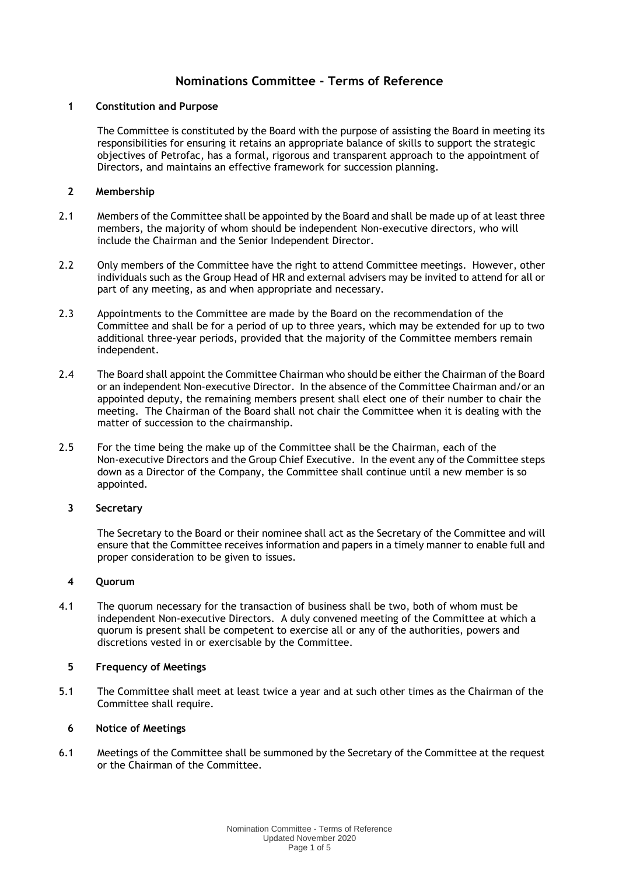# **Nominations Committee - Terms of Reference**

#### **1 Constitution and Purpose**

The Committee is constituted by the Board with the purpose of assisting the Board in meeting its responsibilities for ensuring it retains an appropriate balance of skills to support the strategic objectives of Petrofac, has a formal, rigorous and transparent approach to the appointment of Directors, and maintains an effective framework for succession planning.

## **2 Membership**

- 2.1 Members of the Committee shall be appointed by the Board and shall be made up of at least three members, the majority of whom should be independent Non-executive directors, who will include the Chairman and the Senior Independent Director.
- 2.2 Only members of the Committee have the right to attend Committee meetings. However, other individuals such as the Group Head of HR and external advisers may be invited to attend for all or part of any meeting, as and when appropriate and necessary.
- 2.3 Appointments to the Committee are made by the Board on the recommendation of the Committee and shall be for a period of up to three years, which may be extended for up to two additional three-year periods, provided that the majority of the Committee members remain independent.
- 2.4 The Board shall appoint the Committee Chairman who should be either the Chairman of the Board or an independent Non-executive Director. In the absence of the Committee Chairman and/or an appointed deputy, the remaining members present shall elect one of their number to chair the meeting. The Chairman of the Board shall not chair the Committee when it is dealing with the matter of succession to the chairmanship.
- 2.5 For the time being the make up of the Committee shall be the Chairman, each of the Non-executive Directors and the Group Chief Executive. In the event any of the Committee steps down as a Director of the Company, the Committee shall continue until a new member is so appointed.

## **3 Secretary**

The Secretary to the Board or their nominee shall act as the Secretary of the Committee and will ensure that the Committee receives information and papers in a timely manner to enable full and proper consideration to be given to issues.

## **4 Quorum**

4.1 The quorum necessary for the transaction of business shall be two, both of whom must be independent Non-executive Directors. A duly convened meeting of the Committee at which a quorum is present shall be competent to exercise all or any of the authorities, powers and discretions vested in or exercisable by the Committee.

## **5 Frequency of Meetings**

5.1 The Committee shall meet at least twice a year and at such other times as the Chairman of the Committee shall require.

## **6 Notice of Meetings**

6.1 Meetings of the Committee shall be summoned by the Secretary of the Committee at the request or the Chairman of the Committee.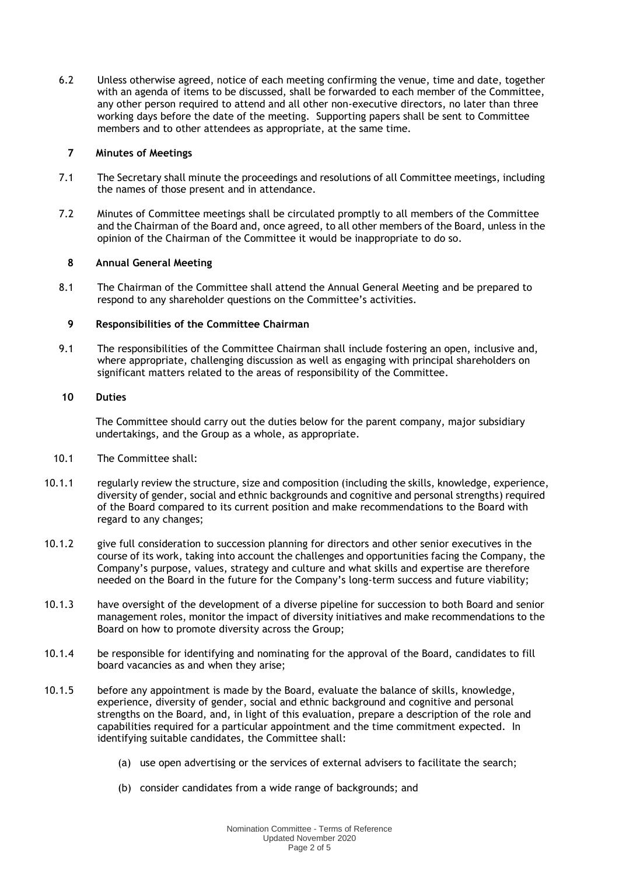6.2 Unless otherwise agreed, notice of each meeting confirming the venue, time and date, together with an agenda of items to be discussed, shall be forwarded to each member of the Committee, any other person required to attend and all other non-executive directors, no later than three working days before the date of the meeting. Supporting papers shall be sent to Committee members and to other attendees as appropriate, at the same time.

#### **7 Minutes of Meetings**

- 7.1 The Secretary shall minute the proceedings and resolutions of all Committee meetings, including the names of those present and in attendance.
- 7.2 Minutes of Committee meetings shall be circulated promptly to all members of the Committee and the Chairman of the Board and, once agreed, to all other members of the Board, unless in the opinion of the Chairman of the Committee it would be inappropriate to do so.

## **8 Annual General Meeting**

8.1 The Chairman of the Committee shall attend the Annual General Meeting and be prepared to respond to any shareholder questions on the Committee's activities.

#### **9 Responsibilities of the Committee Chairman**

9.1 The responsibilities of the Committee Chairman shall include fostering an open, inclusive and, where appropriate, challenging discussion as well as engaging with principal shareholders on significant matters related to the areas of responsibility of the Committee.

#### **10 Duties**

The Committee should carry out the duties below for the parent company, major subsidiary undertakings, and the Group as a whole, as appropriate.

- 10.1 The Committee shall:
- 10.1.1 regularly review the structure, size and composition (including the skills, knowledge, experience, diversity of gender, social and ethnic backgrounds and cognitive and personal strengths) required of the Board compared to its current position and make recommendations to the Board with regard to any changes;
- 10.1.2 give full consideration to succession planning for directors and other senior executives in the course of its work, taking into account the challenges and opportunities facing the Company, the Company's purpose, values, strategy and culture and what skills and expertise are therefore needed on the Board in the future for the Company's long-term success and future viability;
- 10.1.3 have oversight of the development of a diverse pipeline for succession to both Board and senior management roles, monitor the impact of diversity initiatives and make recommendations to the Board on how to promote diversity across the Group;
- 10.1.4 be responsible for identifying and nominating for the approval of the Board, candidates to fill board vacancies as and when they arise;
- 10.1.5 before any appointment is made by the Board, evaluate the balance of skills, knowledge, experience, diversity of gender, social and ethnic background and cognitive and personal strengths on the Board, and, in light of this evaluation, prepare a description of the role and capabilities required for a particular appointment and the time commitment expected. In identifying suitable candidates, the Committee shall:
	- (a) use open advertising or the services of external advisers to facilitate the search;
	- (b) consider candidates from a wide range of backgrounds; and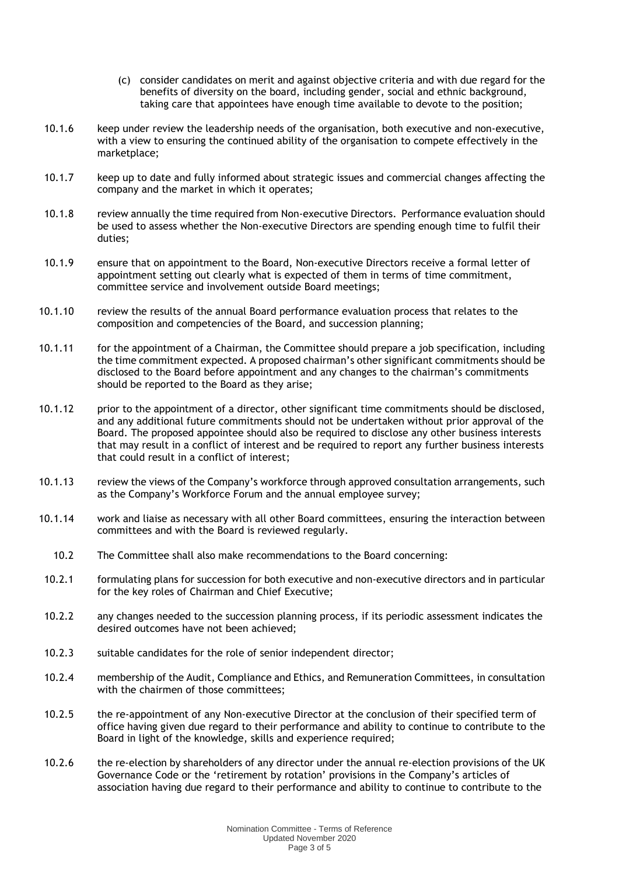- (c) consider candidates on merit and against objective criteria and with due regard for the benefits of diversity on the board, including gender, social and ethnic background, taking care that appointees have enough time available to devote to the position;
- 10.1.6 keep under review the leadership needs of the organisation, both executive and non-executive, with a view to ensuring the continued ability of the organisation to compete effectively in the marketplace;
- 10.1.7 keep up to date and fully informed about strategic issues and commercial changes affecting the company and the market in which it operates;
- 10.1.8 review annually the time required from Non-executive Directors. Performance evaluation should be used to assess whether the Non-executive Directors are spending enough time to fulfil their duties;
- 10.1.9 ensure that on appointment to the Board, Non-executive Directors receive a formal letter of appointment setting out clearly what is expected of them in terms of time commitment, committee service and involvement outside Board meetings;
- 10.1.10 review the results of the annual Board performance evaluation process that relates to the composition and competencies of the Board, and succession planning;
- 10.1.11 for the appointment of a Chairman, the Committee should prepare a job specification, including the time commitment expected. A proposed chairman's other significant commitments should be disclosed to the Board before appointment and any changes to the chairman's commitments should be reported to the Board as they arise;
- 10.1.12 prior to the appointment of a director, other significant time commitments should be disclosed, and any additional future commitments should not be undertaken without prior approval of the Board. The proposed appointee should also be required to disclose any other business interests that may result in a conflict of interest and be required to report any further business interests that could result in a conflict of interest;
- 10.1.13 review the views of the Company's workforce through approved consultation arrangements, such as the Company's Workforce Forum and the annual employee survey;
- 10.1.14 work and liaise as necessary with all other Board committees, ensuring the interaction between committees and with the Board is reviewed regularly.
	- 10.2 The Committee shall also make recommendations to the Board concerning:
- 10.2.1 formulating plans for succession for both executive and non-executive directors and in particular for the key roles of Chairman and Chief Executive;
- 10.2.2 any changes needed to the succession planning process, if its periodic assessment indicates the desired outcomes have not been achieved;
- 10.2.3 suitable candidates for the role of senior independent director;
- 10.2.4 membership of the Audit, Compliance and Ethics, and Remuneration Committees, in consultation with the chairmen of those committees;
- 10.2.5 the re-appointment of any Non-executive Director at the conclusion of their specified term of office having given due regard to their performance and ability to continue to contribute to the Board in light of the knowledge, skills and experience required;
- 10.2.6 the re-election by shareholders of any director under the annual re-election provisions of the UK Governance Code or the 'retirement by rotation' provisions in the Company's articles of association having due regard to their performance and ability to continue to contribute to the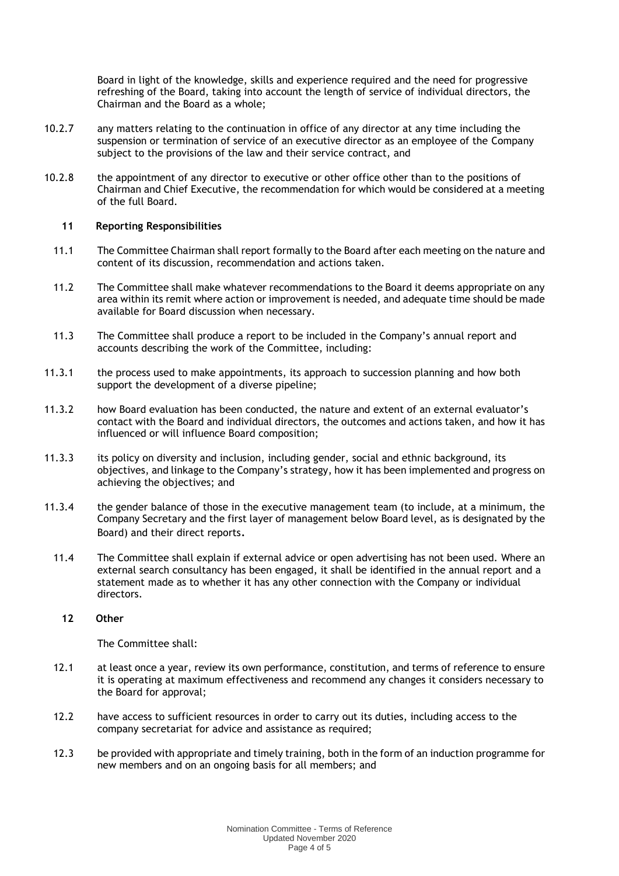Board in light of the knowledge, skills and experience required and the need for progressive refreshing of the Board, taking into account the length of service of individual directors, the Chairman and the Board as a whole;

- 10.2.7 any matters relating to the continuation in office of any director at any time including the suspension or termination of service of an executive director as an employee of the Company subject to the provisions of the law and their service contract, and
- 10.2.8 the appointment of any director to executive or other office other than to the positions of Chairman and Chief Executive, the recommendation for which would be considered at a meeting of the full Board.

#### **11 Reporting Responsibilities**

- 11.1 The Committee Chairman shall report formally to the Board after each meeting on the nature and content of its discussion, recommendation and actions taken.
- 11.2 The Committee shall make whatever recommendations to the Board it deems appropriate on any area within its remit where action or improvement is needed, and adequate time should be made available for Board discussion when necessary.
- 11.3 The Committee shall produce a report to be included in the Company's annual report and accounts describing the work of the Committee, including:
- 11.3.1 the process used to make appointments, its approach to succession planning and how both support the development of a diverse pipeline;
- 11.3.2 how Board evaluation has been conducted, the nature and extent of an external evaluator's contact with the Board and individual directors, the outcomes and actions taken, and how it has influenced or will influence Board composition;
- 11.3.3 its policy on diversity and inclusion, including gender, social and ethnic background, its objectives, and linkage to the Company's strategy, how it has been implemented and progress on achieving the objectives; and
- 11.3.4 the gender balance of those in the executive management team (to include, at a minimum, the Company Secretary and the first layer of management below Board level, as is designated by the Board) and their direct reports.
	- 11.4 The Committee shall explain if external advice or open advertising has not been used. Where an external search consultancy has been engaged, it shall be identified in the annual report and a statement made as to whether it has any other connection with the Company or individual directors.

#### **12 Other**

The Committee shall:

- 12.1 at least once a year, review its own performance, constitution, and terms of reference to ensure it is operating at maximum effectiveness and recommend any changes it considers necessary to the Board for approval;
- 12.2 have access to sufficient resources in order to carry out its duties, including access to the company secretariat for advice and assistance as required;
- 12.3 be provided with appropriate and timely training, both in the form of an induction programme for new members and on an ongoing basis for all members; and